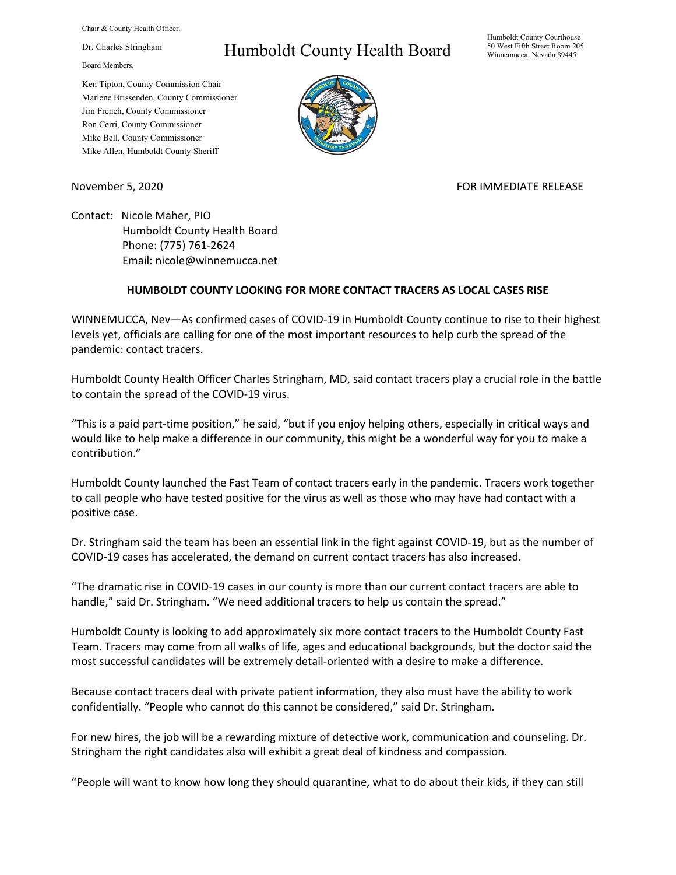Chair & County Health Officer,

Dr. Charles Stringham

Board Members,

Ken Tipton, County Commission Chair Marlene Brissenden, County Commissioner Jim French, County Commissioner Ron Cerri, County Commissioner Mike Bell, County Commissioner Mike Allen, Humboldt County Sheriff

## Humboldt County Health Board

Humboldt County Courthouse 50 West Fifth Street Room 205 Winnemucca, Nevada 89445



November 5, 2020 FOR IMMEDIATE RELEASE

Contact: Nicole Maher, PIO Humboldt County Health Board Phone: (775) 761-2624 Email: nicole@winnemucca.net

## **HUMBOLDT COUNTY LOOKING FOR MORE CONTACT TRACERS AS LOCAL CASES RISE**

WINNEMUCCA, Nev—As confirmed cases of COVID-19 in Humboldt County continue to rise to their highest levels yet, officials are calling for one of the most important resources to help curb the spread of the pandemic: contact tracers.

Humboldt County Health Officer Charles Stringham, MD, said contact tracers play a crucial role in the battle to contain the spread of the COVID-19 virus.

"This is a paid part-time position," he said, "but if you enjoy helping others, especially in critical ways and would like to help make a difference in our community, this might be a wonderful way for you to make a contribution."

Humboldt County launched the Fast Team of contact tracers early in the pandemic. Tracers work together to call people who have tested positive for the virus as well as those who may have had contact with a positive case.

Dr. Stringham said the team has been an essential link in the fight against COVID-19, but as the number of COVID-19 cases has accelerated, the demand on current contact tracers has also increased.

"The dramatic rise in COVID-19 cases in our county is more than our current contact tracers are able to handle," said Dr. Stringham. "We need additional tracers to help us contain the spread."

Humboldt County is looking to add approximately six more contact tracers to the Humboldt County Fast Team. Tracers may come from all walks of life, ages and educational backgrounds, but the doctor said the most successful candidates will be extremely detail-oriented with a desire to make a difference.

Because contact tracers deal with private patient information, they also must have the ability to work confidentially. "People who cannot do this cannot be considered," said Dr. Stringham.

For new hires, the job will be a rewarding mixture of detective work, communication and counseling. Dr. Stringham the right candidates also will exhibit a great deal of kindness and compassion.

"People will want to know how long they should quarantine, what to do about their kids, if they can still